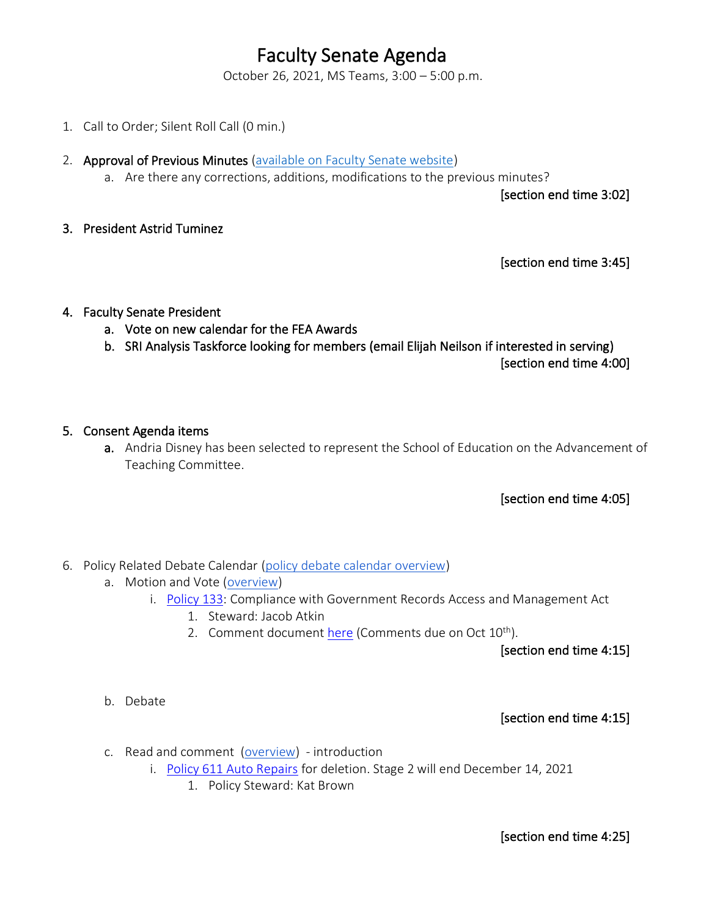# Faculty Senate Agenda

October 26, 2021, MS Teams, 3:00 – 5:00 p.m.

- 1. Call to Order; Silent Roll Call (0 min.)
- 2. Approval of Previous Minutes [\(available on Faculty Senate website\)](https://www.uvu.edu/facsenate/minutes.html)
	- a. Are there any corrections, additions, modifications to the previous minutes?

[section end time 3:02]

3. President Astrid Tuminez

[section end time 3:45]

#### 4. Faculty Senate President

- a. Vote on new calendar for the FEA Awards
- b. SRI Analysis Taskforce looking for members (email Elijah Neilson if interested in serving)

[section end time 4:00]

#### 5. Consent Agenda items

a. Andria Disney has been selected to represent the School of Education on the Advancement of Teaching Committee.

### [section end time 4:05]

- 6. Policy Related Debate Calendar [\(policy debate calendar overview\)](https://drive.google.com/file/d/1qcAYtZh5lFnIa680jE2JKGygThjeMyzK/view?usp=sharing)
	- a. Motion and Vote [\(overview\)](https://drive.google.com/file/d/1qcAYtZh5lFnIa680jE2JKGygThjeMyzK/view?usp=sharing)
		- i. [Policy 133:](https://policy.uvu.edu/getDisplayFile/5e4c0b37430850e60b456342) Compliance with Government Records Access and Management Act
			- 1. Steward: Jacob Atkin
			- 2. Comment documen[t here](https://docs.google.com/document/d/1XP4Kt6ERrtKzdSrTQneg2JCwKJY6UIWpyMGrYM0TBM4/edit?usp=sharing) (Comments due on Oct  $10^{th}$ ).

[section end time 4:15]

b. Debate

[section end time 4:15]

- c. Read and comment [\(overview\)](https://drive.google.com/file/d/1qcAYtZh5lFnIa680jE2JKGygThjeMyzK/view?usp=sharing) introduction
	- i. [Policy 611 Auto Repairs](https://policy.uvu.edu/getDisplayFile/6168ee490f6380351b03bcae) for deletion. Stage 2 will end December 14, 2021
		- 1. Policy Steward: Kat Brown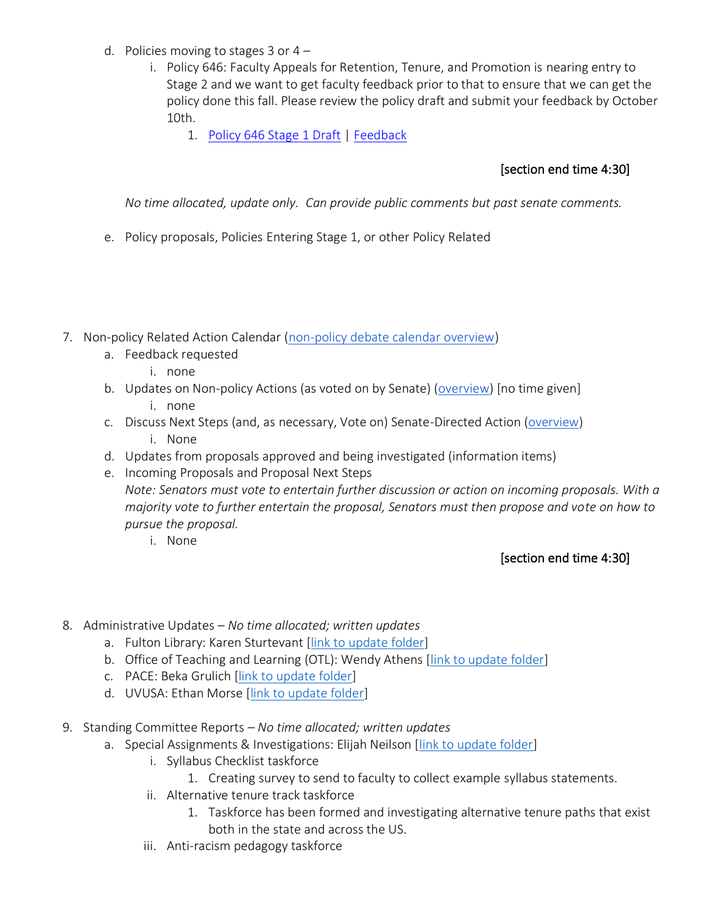- d. Policies moving to stages  $3$  or  $4$ 
	- i. Policy 646: Faculty Appeals for Retention, Tenure, and Promotion is nearing entry to Stage 2 and we want to get faculty feedback prior to that to ensure that we can get the policy done this fall. Please review the policy draft and submit your feedback by October 10th.
		- 1. [Policy 646 Stage 1 Draft](https://uvu365-my.sharepoint.com/:w:/g/personal/10485222_uvu_edu/EfWHVUrcvKRDgsEa2UB65X4B7VmES26k2uciyWhqu0vKzQ?e=ELeq9f) | [Feedback](https://docs.google.com/document/d/1LPmlYwXEtRtEN1pXn3nhu-2LADcS9mNqCBSxulldzDs/edit?usp=sharing)

# [section end time 4:30]

*No time allocated, update only. Can provide public comments but past senate comments.*

- e. Policy proposals, Policies Entering Stage 1, or other Policy Related
- 7. Non-policy Related Action Calendar [\(non-policy debate calendar overview\)](https://docs.google.com/document/d/1zrPy0Fn9xcOhidd1XMgo1opj-lYb_9aTvLKg_NI1eLA/edit?usp=sharing)
	- a. Feedback requested
		- i. none
	- b. Updates on Non-policy Actions (as voted on by Senate) [\(overview\)](https://docs.google.com/document/d/1zrPy0Fn9xcOhidd1XMgo1opj-lYb_9aTvLKg_NI1eLA/edit#bookmark=id.20s1i57f673d) [no time given]
		- i. none
	- c. Discuss Next Steps (and, as necessary, Vote on) Senate-Directed Action [\(overview\)](https://docs.google.com/document/d/1zrPy0Fn9xcOhidd1XMgo1opj-lYb_9aTvLKg_NI1eLA/edit#bookmark=id.1turi862unvt) i. None
	- d. Updates from proposals approved and being investigated (information items)
	- e. Incoming Proposals and Proposal Next Steps *Note: Senators must vote to entertain further discussion or action on incoming proposals. With a majority vote to further entertain the proposal, Senators must then propose and vote on how to pursue the proposal.*
		- i. None

## [section end time 4:30]

- 8. Administrative Updates *– No time allocated; written updates*
	- a. Fulton Library: Karen Sturtevant [\[link to update folder\]](https://drive.google.com/drive/folders/1CJZnOvFahmJJZJojR2XBd0U8PclC3aHK?usp=sharing)
	- b. Office of Teaching and Learning (OTL): Wendy Athens [\[link to update folder\]](https://drive.google.com/drive/folders/1o5Tj_1mbe6qVJWyGFA9FNQMAx0zgjyM9?usp=sharing)
	- c. PACE: Beka Grulich [link to [update folder\]](https://drive.google.com/drive/folders/1Ine7rBIg27FdgKErlcWF5p9Nx0tJNwok?usp=sharing)
	- d. UVUSA: Ethan Morse [\[link to update folder\]](https://drive.google.com/drive/folders/1GXZgi4LTLaWWG5uZ1_7PXCZi9GB43BZm?usp=sharing)
- 9. Standing Committee Reports *– No time allocated; written updates*
	- a. Special Assignments & Investigations: Elijah Neilson [\[link to update folder\]](https://drive.google.com/drive/folders/1e9MbUhAQO28YnSWhseDbZv13PkR6mIFT?usp=sharing)
		- i. Syllabus Checklist taskforce
			- 1. Creating survey to send to faculty to collect example syllabus statements.
		- ii. Alternative tenure track taskforce
			- 1. Taskforce has been formed and investigating alternative tenure paths that exist both in the state and across the US.
		- iii. Anti-racism pedagogy taskforce